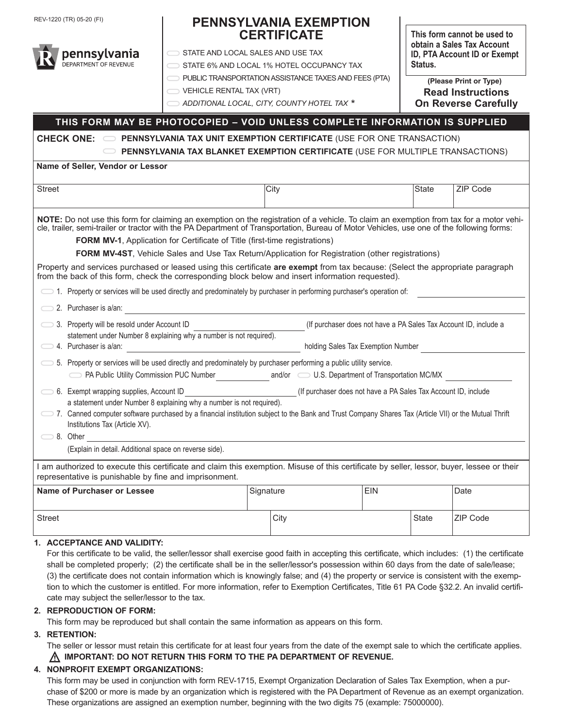REV-1220 (TR) 05-20 (FI)

## **PENNSYLVANIA EXEMPTION CERTIFICATE**

**STATE AND LOCAL SALES AND USE TAX** 

STATE 6% AND LOCAL 1% HOTEL OCCUPANCY TAX

**PUBLIC TRANSPORTATION ASSISTANCE TAXES AND FEES (PTA)** 

VEHICLE RENTAL TAX (VRT)

 *ADDITIONAL LOCAL, CITY, COUNTY HOTEL TAX \**

**This form cannot be used to obtain a Sales Tax Account ID, PTA Account ID or Exempt Status.**

**Read Instructions On Reverse Carefully (Please Print or Type)**

## **THIS FORM MAY BE PHOTOCOPIED – VOID UNLESS COMPLETE INFORMATION IS SUPPLIED**

**CHECK ONE: PENNSYLVANIA TAX UNIT EXEMPTION CERTIFICATE** (USE FOR ONE TRANSACTION)  **PENNSYLVANIA TAX BLANKET EXEMPTION CERTIFICATE** (USE FOR MULTIPLE TRANSACTIONS)

**Name of Seller, Vendor or Lessor**

pennsylvania DEPARTMENT OF REVENUE

| <b>Street</b>                                                                                                                                                                                                                                                                        |                                    | City |            | <b>State</b> | ZIP Code |  |
|--------------------------------------------------------------------------------------------------------------------------------------------------------------------------------------------------------------------------------------------------------------------------------------|------------------------------------|------|------------|--------------|----------|--|
|                                                                                                                                                                                                                                                                                      |                                    |      |            |              |          |  |
| NOTE: Do not use this form for claiming an exemption on the registration of a vehicle. To claim an exemption from tax for a motor vehi-<br>cle, trailer, semi-trailer or tractor with the PA Department of Transportation, Bureau of Motor Vehicles, use one of the following forms: |                                    |      |            |              |          |  |
| <b>FORM MV-1, Application for Certificate of Title (first-time registrations)</b>                                                                                                                                                                                                    |                                    |      |            |              |          |  |
| FORM MV-4ST, Vehicle Sales and Use Tax Return/Application for Registration (other registrations)                                                                                                                                                                                     |                                    |      |            |              |          |  |
| Property and services purchased or leased using this certificate are exempt from tax because: (Select the appropriate paragraph<br>from the back of this form, check the corresponding block below and insert information requested).                                                |                                    |      |            |              |          |  |
| 1. Property or services will be used directly and predominately by purchaser in performing purchaser's operation of:                                                                                                                                                                 |                                    |      |            |              |          |  |
| 2. Purchaser is a/an:                                                                                                                                                                                                                                                                |                                    |      |            |              |          |  |
| 3. Property will be resold under Account ID<br>(If purchaser does not have a PA Sales Tax Account ID, include a<br>statement under Number 8 explaining why a number is not required).                                                                                                |                                    |      |            |              |          |  |
| $\implies$ 4. Purchaser is a/an:                                                                                                                                                                                                                                                     | holding Sales Tax Exemption Number |      |            |              |          |  |
| 5. Property or services will be used directly and predominately by purchaser performing a public utility service.                                                                                                                                                                    |                                    |      |            |              |          |  |
|                                                                                                                                                                                                                                                                                      |                                    |      |            |              |          |  |
| (If purchaser does not have a PA Sales Tax Account ID, include<br>6. Exempt wrapping supplies, Account ID<br>a statement under Number 8 explaining why a number is not required).                                                                                                    |                                    |      |            |              |          |  |
| 7. Canned computer software purchased by a financial institution subject to the Bank and Trust Company Shares Tax (Article VII) or the Mutual Thrift<br>Institutions Tax (Article XV).                                                                                               |                                    |      |            |              |          |  |
| $\bigcirc$ 8. Other<br><u> 1980 - Jan Stein Stein Stein Stein Stein Stein Stein Stein Stein Stein Stein Stein Stein Stein Stein Stein S</u>                                                                                                                                          |                                    |      |            |              |          |  |
| (Explain in detail. Additional space on reverse side).                                                                                                                                                                                                                               |                                    |      |            |              |          |  |
| I am authorized to execute this certificate and claim this exemption. Misuse of this certificate by seller, lessor, buyer, lessee or their<br>representative is punishable by fine and imprisonment.                                                                                 |                                    |      |            |              |          |  |
| <b>Name of Purchaser or Lessee</b><br>Signature                                                                                                                                                                                                                                      |                                    |      | <b>EIN</b> |              | Date     |  |
| <b>Street</b>                                                                                                                                                                                                                                                                        |                                    | City |            | State        | ZIP Code |  |
| ACCEPTANCE AND VALIBITY.                                                                                                                                                                                                                                                             |                                    |      |            |              |          |  |

## **1. ACCEPTANCE AND VALIDITY:**

For this certificate to be valid, the seller/lessor shall exercise good faith in accepting this certificate, which includes: (1) the certificate shall be completed properly; (2) the certificate shall be in the seller/lessor's possession within 60 days from the date of sale/lease; (3) the certificate does not contain information which is knowingly false; and (4) the property or service is consistent with the exemption to which the customer is entitled. For more information, refer to Exemption Certificates, Title 61 PA Code §32.2. An invalid certificate may subject the seller/lessor to the tax.

## **2. REPRODUCTION OF FORM:**

This form may be reproduced but shall contain the same information as appears on this form.

## **3. RETENTION:**

The seller or lessor must retain this certificate for at least four years from the date of the exempt sale to which the certificate applies. **IMPORTANT: DO NOT RETURN THIS FORM TO THE PA DEPARTMENT OF REVENUE.**

## **4. NONPROFIT EXEMPT ORGANIZATIONS:**

This form may be used in conjunction with form REV-1715, Exempt Organization Declaration of Sales Tax Exemption, when a purchase of \$200 or more is made by an organization which is registered with the PA Department of Revenue as an exempt organization. These organizations are assigned an exemption number, beginning with the two digits 75 (example: 75000000).